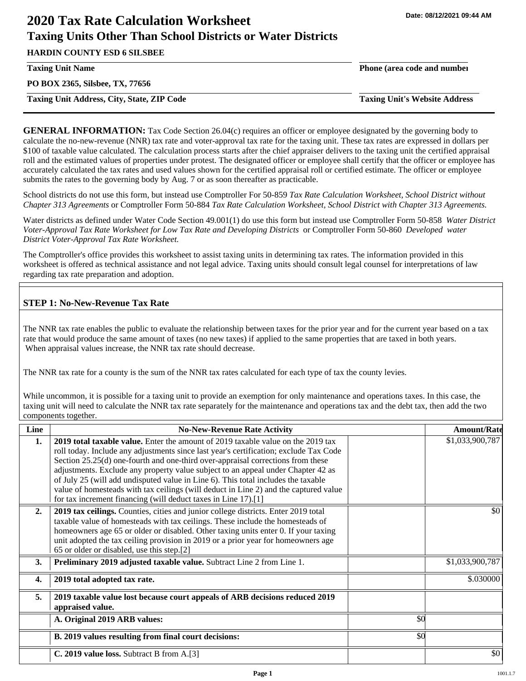# **2020 Tax Rate Calculation Worksheet Taxing Units Other Than School Districts or Water Districts**

**HARDIN COUNTY ESD 6 SILSBEE**

**PO BOX 2365, Silsbee, TX, 77656**

**Taxing Unit Address, City, State, ZIP Code Taxing Unit's Website Address**

**Taxing Unit Name Phone (area code and number**

**GENERAL INFORMATION:** Tax Code Section 26.04(c) requires an officer or employee designated by the governing body to calculate the no-new-revenue (NNR) tax rate and voter-approval tax rate for the taxing unit. These tax rates are expressed in dollars per \$100 of taxable value calculated. The calculation process starts after the chief appraiser delivers to the taxing unit the certified appraisal roll and the estimated values of properties under protest. The designated officer or employee shall certify that the officer or employee has accurately calculated the tax rates and used values shown for the certified appraisal roll or certified estimate. The officer or employee submits the rates to the governing body by Aug. 7 or as soon thereafter as practicable.

School districts do not use this form, but instead use Comptroller For 50-859 *Tax Rate Calculation Worksheet, School District without Chapter 313 Agreements* or Comptroller Form 50-884 *Tax Rate Calculation Worksheet, School District with Chapter 313 Agreements.*

Water districts as defined under Water Code Section 49.001(1) do use this form but instead use Comptroller Form 50-858 *Water District Voter-Approval Tax Rate Worksheet for Low Tax Rate and Developing Districts* or Comptroller Form 50-860 *Developed water District Voter-Approval Tax Rate Worksheet.*

The Comptroller's office provides this worksheet to assist taxing units in determining tax rates. The information provided in this worksheet is offered as technical assistance and not legal advice. Taxing units should consult legal counsel for interpretations of law regarding tax rate preparation and adoption.

# **STEP 1: No-New-Revenue Tax Rate**

The NNR tax rate enables the public to evaluate the relationship between taxes for the prior year and for the current year based on a tax rate that would produce the same amount of taxes (no new taxes) if applied to the same properties that are taxed in both years. When appraisal values increase, the NNR tax rate should decrease.

The NNR tax rate for a county is the sum of the NNR tax rates calculated for each type of tax the county levies.

While uncommon, it is possible for a taxing unit to provide an exemption for only maintenance and operations taxes. In this case, the taxing unit will need to calculate the NNR tax rate separately for the maintenance and operations tax and the debt tax, then add the two components together.

| Line | <b>No-New-Revenue Rate Activity</b>                                                                                                                                                                                                                                                                                                                                                                                                                                                                                                                                                             |     | <b>Amount/Rate</b> |
|------|-------------------------------------------------------------------------------------------------------------------------------------------------------------------------------------------------------------------------------------------------------------------------------------------------------------------------------------------------------------------------------------------------------------------------------------------------------------------------------------------------------------------------------------------------------------------------------------------------|-----|--------------------|
| 1.   | 2019 total taxable value. Enter the amount of 2019 taxable value on the 2019 tax<br>roll today. Include any adjustments since last year's certification; exclude Tax Code<br>Section 25.25(d) one-fourth and one-third over-appraisal corrections from these<br>adjustments. Exclude any property value subject to an appeal under Chapter 42 as<br>of July 25 (will add undisputed value in Line 6). This total includes the taxable<br>value of homesteads with tax ceilings (will deduct in Line 2) and the captured value<br>for tax increment financing (will deduct taxes in Line 17).[1] |     | \$1,033,900,787    |
| 2.   | 2019 tax ceilings. Counties, cities and junior college districts. Enter 2019 total<br>taxable value of homesteads with tax ceilings. These include the homesteads of<br>homeowners age 65 or older or disabled. Other taxing units enter 0. If your taxing<br>unit adopted the tax ceiling provision in 2019 or a prior year for homeowners age<br>65 or older or disabled, use this step.[2]                                                                                                                                                                                                   |     | \$0                |
| 3.   | <b>Preliminary 2019 adjusted taxable value.</b> Subtract Line 2 from Line 1.                                                                                                                                                                                                                                                                                                                                                                                                                                                                                                                    |     | \$1,033,900,787    |
| 4.   | 2019 total adopted tax rate.                                                                                                                                                                                                                                                                                                                                                                                                                                                                                                                                                                    |     | \$.030000          |
| 5.   | 2019 taxable value lost because court appeals of ARB decisions reduced 2019<br>appraised value.                                                                                                                                                                                                                                                                                                                                                                                                                                                                                                 |     |                    |
|      | A. Original 2019 ARB values:                                                                                                                                                                                                                                                                                                                                                                                                                                                                                                                                                                    | \$0 |                    |
|      | B. 2019 values resulting from final court decisions:                                                                                                                                                                                                                                                                                                                                                                                                                                                                                                                                            | \$0 |                    |
|      | C. 2019 value loss. Subtract B from A.[3]                                                                                                                                                                                                                                                                                                                                                                                                                                                                                                                                                       |     | \$0                |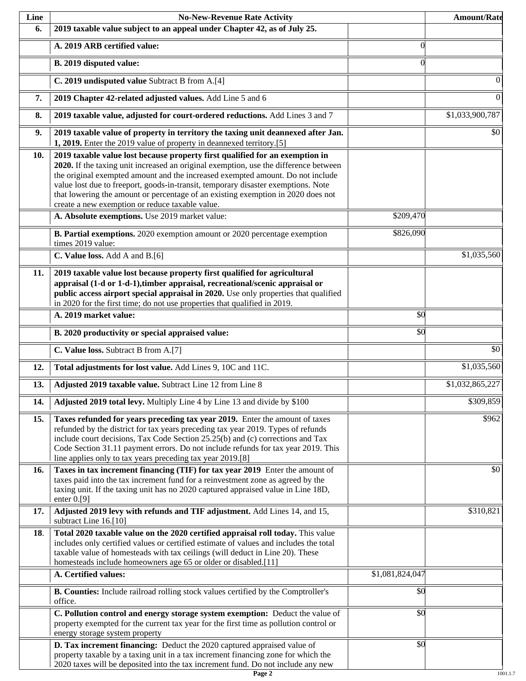| Line | <b>No-New-Revenue Rate Activity</b>                                                                                                                                                                                                                                                                                                                                                                                                                                                |                 | <b>Amount/Rate</b> |
|------|------------------------------------------------------------------------------------------------------------------------------------------------------------------------------------------------------------------------------------------------------------------------------------------------------------------------------------------------------------------------------------------------------------------------------------------------------------------------------------|-----------------|--------------------|
| 6.   | 2019 taxable value subject to an appeal under Chapter 42, as of July 25.                                                                                                                                                                                                                                                                                                                                                                                                           |                 |                    |
|      | A. 2019 ARB certified value:                                                                                                                                                                                                                                                                                                                                                                                                                                                       | $\theta$        |                    |
|      | B. 2019 disputed value:                                                                                                                                                                                                                                                                                                                                                                                                                                                            | $\Omega$        |                    |
|      | C. 2019 undisputed value Subtract B from A.[4]                                                                                                                                                                                                                                                                                                                                                                                                                                     |                 | 0                  |
| 7.   | 2019 Chapter 42-related adjusted values. Add Line 5 and 6                                                                                                                                                                                                                                                                                                                                                                                                                          |                 | $\boldsymbol{0}$   |
| 8.   | 2019 taxable value, adjusted for court-ordered reductions. Add Lines 3 and 7                                                                                                                                                                                                                                                                                                                                                                                                       |                 | \$1,033,900,787    |
| 9.   | 2019 taxable value of property in territory the taxing unit deannexed after Jan.<br>1, 2019. Enter the 2019 value of property in deannexed territory.[5]                                                                                                                                                                                                                                                                                                                           |                 | \$0                |
| 10.  | 2019 taxable value lost because property first qualified for an exemption in<br>2020. If the taxing unit increased an original exemption, use the difference between<br>the original exempted amount and the increased exempted amount. Do not include<br>value lost due to freeport, goods-in-transit, temporary disaster exemptions. Note<br>that lowering the amount or percentage of an existing exemption in 2020 does not<br>create a new exemption or reduce taxable value. |                 |                    |
|      | A. Absolute exemptions. Use 2019 market value:                                                                                                                                                                                                                                                                                                                                                                                                                                     | \$209,470       |                    |
|      | B. Partial exemptions. 2020 exemption amount or 2020 percentage exemption<br>times 2019 value:                                                                                                                                                                                                                                                                                                                                                                                     | \$826,090       |                    |
|      | C. Value loss. Add A and B.[6]                                                                                                                                                                                                                                                                                                                                                                                                                                                     |                 | \$1,035,560        |
| 11.  | 2019 taxable value lost because property first qualified for agricultural<br>appraisal (1-d or 1-d-1), timber appraisal, recreational/scenic appraisal or<br>public access airport special appraisal in 2020. Use only properties that qualified<br>in 2020 for the first time; do not use properties that qualified in 2019.                                                                                                                                                      |                 |                    |
|      | A. 2019 market value:                                                                                                                                                                                                                                                                                                                                                                                                                                                              | \$0             |                    |
|      | B. 2020 productivity or special appraised value:                                                                                                                                                                                                                                                                                                                                                                                                                                   | \$0             |                    |
|      | C. Value loss. Subtract B from A.[7]                                                                                                                                                                                                                                                                                                                                                                                                                                               |                 | $\overline{50}$    |
| 12.  | Total adjustments for lost value. Add Lines 9, 10C and 11C.                                                                                                                                                                                                                                                                                                                                                                                                                        |                 | \$1,035,560        |
| 13.  | Adjusted 2019 taxable value. Subtract Line 12 from Line 8                                                                                                                                                                                                                                                                                                                                                                                                                          |                 | \$1,032,865,227    |
| 14.  | Adjusted 2019 total levy. Multiply Line 4 by Line 13 and divide by \$100                                                                                                                                                                                                                                                                                                                                                                                                           |                 | \$309,859          |
| 15.  | Taxes refunded for years preceding tax year 2019. Enter the amount of taxes<br>refunded by the district for tax years preceding tax year 2019. Types of refunds<br>include court decisions, Tax Code Section 25.25(b) and (c) corrections and Tax<br>Code Section 31.11 payment errors. Do not include refunds for tax year 2019. This<br>line applies only to tax years preceding tax year 2019.[8]                                                                               |                 | \$962              |
| 16.  | Taxes in tax increment financing (TIF) for tax year 2019 Enter the amount of<br>taxes paid into the tax increment fund for a reinvestment zone as agreed by the<br>taxing unit. If the taxing unit has no 2020 captured appraised value in Line 18D,<br>enter $0.9$ ]                                                                                                                                                                                                              |                 | \$0                |
| 17.  | Adjusted 2019 levy with refunds and TIF adjustment. Add Lines 14, and 15,<br>subtract Line 16.[10]                                                                                                                                                                                                                                                                                                                                                                                 |                 | \$310,821          |
| 18.  | Total 2020 taxable value on the 2020 certified appraisal roll today. This value<br>includes only certified values or certified estimate of values and includes the total<br>taxable value of homesteads with tax ceilings (will deduct in Line 20). These<br>homesteads include homeowners age 65 or older or disabled.[11]                                                                                                                                                        |                 |                    |
|      | A. Certified values:                                                                                                                                                                                                                                                                                                                                                                                                                                                               | \$1,081,824,047 |                    |
|      | B. Counties: Include railroad rolling stock values certified by the Comptroller's<br>office.                                                                                                                                                                                                                                                                                                                                                                                       | \$0             |                    |
|      | C. Pollution control and energy storage system exemption: Deduct the value of<br>property exempted for the current tax year for the first time as pollution control or<br>energy storage system property                                                                                                                                                                                                                                                                           | \$0             |                    |
|      | D. Tax increment financing: Deduct the 2020 captured appraised value of<br>property taxable by a taxing unit in a tax increment financing zone for which the<br>2020 taxes will be deposited into the tax increment fund. Do not include any new                                                                                                                                                                                                                                   | $\sqrt{50}$     |                    |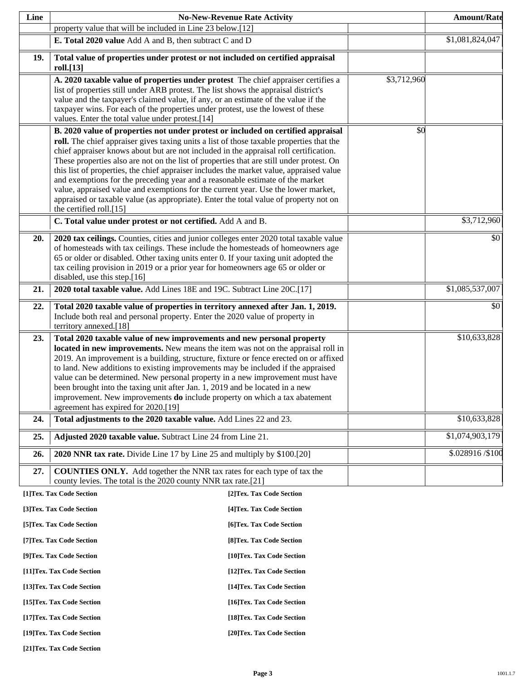| Line |                                                                                                                                                                                                                                                                                                                                                                                                                                                                                                                                                                                                                                                                                                                                                        | <b>No-New-Revenue Rate Activity</b> |             | <b>Amount/Rate</b> |
|------|--------------------------------------------------------------------------------------------------------------------------------------------------------------------------------------------------------------------------------------------------------------------------------------------------------------------------------------------------------------------------------------------------------------------------------------------------------------------------------------------------------------------------------------------------------------------------------------------------------------------------------------------------------------------------------------------------------------------------------------------------------|-------------------------------------|-------------|--------------------|
|      | property value that will be included in Line 23 below.[12]                                                                                                                                                                                                                                                                                                                                                                                                                                                                                                                                                                                                                                                                                             |                                     |             |                    |
|      | E. Total 2020 value Add A and B, then subtract C and D                                                                                                                                                                                                                                                                                                                                                                                                                                                                                                                                                                                                                                                                                                 |                                     |             | \$1,081,824,047    |
| 19.  | Total value of properties under protest or not included on certified appraisal<br>roll.[13]                                                                                                                                                                                                                                                                                                                                                                                                                                                                                                                                                                                                                                                            |                                     |             |                    |
|      | A. 2020 taxable value of properties under protest The chief appraiser certifies a<br>list of properties still under ARB protest. The list shows the appraisal district's<br>value and the taxpayer's claimed value, if any, or an estimate of the value if the<br>taxpayer wins. For each of the properties under protest, use the lowest of these<br>values. Enter the total value under protest.[14]                                                                                                                                                                                                                                                                                                                                                 |                                     | \$3,712,960 |                    |
|      | B. 2020 value of properties not under protest or included on certified appraisal<br>roll. The chief appraiser gives taxing units a list of those taxable properties that the<br>chief appraiser knows about but are not included in the appraisal roll certification.<br>These properties also are not on the list of properties that are still under protest. On<br>this list of properties, the chief appraiser includes the market value, appraised value<br>and exemptions for the preceding year and a reasonable estimate of the market<br>value, appraised value and exemptions for the current year. Use the lower market,<br>appraised or taxable value (as appropriate). Enter the total value of property not on<br>the certified roll.[15] |                                     | \$0         |                    |
|      | C. Total value under protest or not certified. Add A and B.                                                                                                                                                                                                                                                                                                                                                                                                                                                                                                                                                                                                                                                                                            |                                     |             | \$3,712,960        |
| 20.  | 2020 tax ceilings. Counties, cities and junior colleges enter 2020 total taxable value<br>of homesteads with tax ceilings. These include the homesteads of homeowners age<br>65 or older or disabled. Other taxing units enter 0. If your taxing unit adopted the<br>tax ceiling provision in 2019 or a prior year for homeowners age 65 or older or<br>disabled, use this step.[16]                                                                                                                                                                                                                                                                                                                                                                   |                                     |             | \$0                |
| 21.  | 2020 total taxable value. Add Lines 18E and 19C. Subtract Line 20C.[17]                                                                                                                                                                                                                                                                                                                                                                                                                                                                                                                                                                                                                                                                                |                                     |             | \$1,085,537,007    |
| 22.  | Total 2020 taxable value of properties in territory annexed after Jan. 1, 2019.<br>Include both real and personal property. Enter the 2020 value of property in<br>territory annexed.[18]                                                                                                                                                                                                                                                                                                                                                                                                                                                                                                                                                              |                                     |             | \$0                |
| 23.  | Total 2020 taxable value of new improvements and new personal property<br>located in new improvements. New means the item was not on the appraisal roll in<br>2019. An improvement is a building, structure, fixture or fence erected on or affixed<br>to land. New additions to existing improvements may be included if the appraised<br>value can be determined. New personal property in a new improvement must have<br>been brought into the taxing unit after Jan. 1, 2019 and be located in a new<br>improvement. New improvements <b>do</b> include property on which a tax abatement<br>agreement has expired for 2020.[19]                                                                                                                   |                                     |             | \$10,633,828       |
| 24.  | Total adjustments to the 2020 taxable value. Add Lines 22 and 23.                                                                                                                                                                                                                                                                                                                                                                                                                                                                                                                                                                                                                                                                                      |                                     |             | \$10,633,828       |
| 25.  | Adjusted 2020 taxable value. Subtract Line 24 from Line 21.                                                                                                                                                                                                                                                                                                                                                                                                                                                                                                                                                                                                                                                                                            |                                     |             | \$1,074,903,179    |
| 26.  | 2020 NNR tax rate. Divide Line 17 by Line 25 and multiply by \$100.[20]                                                                                                                                                                                                                                                                                                                                                                                                                                                                                                                                                                                                                                                                                |                                     |             | \$.028916/\$100    |
| 27.  | <b>COUNTIES ONLY.</b> Add together the NNR tax rates for each type of tax the<br>county levies. The total is the 2020 county NNR tax rate.[21]                                                                                                                                                                                                                                                                                                                                                                                                                                                                                                                                                                                                         |                                     |             |                    |
|      | [1]Tex. Tax Code Section                                                                                                                                                                                                                                                                                                                                                                                                                                                                                                                                                                                                                                                                                                                               | [2]Tex. Tax Code Section            |             |                    |
|      | [3]Tex. Tax Code Section                                                                                                                                                                                                                                                                                                                                                                                                                                                                                                                                                                                                                                                                                                                               | [4] Tex. Tax Code Section           |             |                    |
|      | [5]Tex. Tax Code Section                                                                                                                                                                                                                                                                                                                                                                                                                                                                                                                                                                                                                                                                                                                               | [6] Tex. Tax Code Section           |             |                    |
|      | [7] Tex. Tax Code Section                                                                                                                                                                                                                                                                                                                                                                                                                                                                                                                                                                                                                                                                                                                              | [8] Tex. Tax Code Section           |             |                    |
|      | [9]Tex. Tax Code Section                                                                                                                                                                                                                                                                                                                                                                                                                                                                                                                                                                                                                                                                                                                               | [10]Tex. Tax Code Section           |             |                    |
|      | [11] Tex. Tax Code Section                                                                                                                                                                                                                                                                                                                                                                                                                                                                                                                                                                                                                                                                                                                             | [12] Tex. Tax Code Section          |             |                    |
|      | [13] Tex. Tax Code Section                                                                                                                                                                                                                                                                                                                                                                                                                                                                                                                                                                                                                                                                                                                             | [14] Tex. Tax Code Section          |             |                    |
|      | [15] Tex. Tax Code Section                                                                                                                                                                                                                                                                                                                                                                                                                                                                                                                                                                                                                                                                                                                             | [16] Tex. Tax Code Section          |             |                    |
|      | [17] Tex. Tax Code Section                                                                                                                                                                                                                                                                                                                                                                                                                                                                                                                                                                                                                                                                                                                             | [18] Tex. Tax Code Section          |             |                    |
|      | [19]Tex. Tax Code Section                                                                                                                                                                                                                                                                                                                                                                                                                                                                                                                                                                                                                                                                                                                              | [20]Tex. Tax Code Section           |             |                    |

**[21]Tex. Tax Code Section**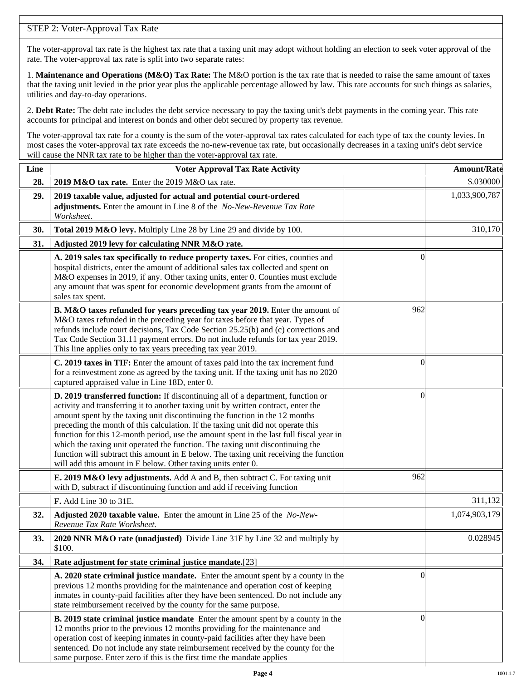# STEP 2: Voter-Approval Tax Rate

The voter-approval tax rate is the highest tax rate that a taxing unit may adopt without holding an election to seek voter approval of the rate. The voter-approval tax rate is split into two separate rates:

1. **Maintenance and Operations (M&O) Tax Rate:** The M&O portion is the tax rate that is needed to raise the same amount of taxes that the taxing unit levied in the prior year plus the applicable percentage allowed by law. This rate accounts for such things as salaries, utilities and day-to-day operations.

2. **Debt Rate:** The debt rate includes the debt service necessary to pay the taxing unit's debt payments in the coming year. This rate accounts for principal and interest on bonds and other debt secured by property tax revenue.

The voter-approval tax rate for a county is the sum of the voter-approval tax rates calculated for each type of tax the county levies. In most cases the voter-approval tax rate exceeds the no-new-revenue tax rate, but occasionally decreases in a taxing unit's debt service will cause the NNR tax rate to be higher than the voter-approval tax rate.

| Line | <b>Voter Approval Tax Rate Activity</b>                                                                                                                                                                                                                                                                                                                                                                                                                                                                                                                                                                                                                                        |                | <b>Amount/Rate</b> |
|------|--------------------------------------------------------------------------------------------------------------------------------------------------------------------------------------------------------------------------------------------------------------------------------------------------------------------------------------------------------------------------------------------------------------------------------------------------------------------------------------------------------------------------------------------------------------------------------------------------------------------------------------------------------------------------------|----------------|--------------------|
| 28.  | 2019 M&O tax rate. Enter the 2019 M&O tax rate.                                                                                                                                                                                                                                                                                                                                                                                                                                                                                                                                                                                                                                |                | \$.030000          |
| 29.  | 2019 taxable value, adjusted for actual and potential court-ordered<br>adjustments. Enter the amount in Line 8 of the No-New-Revenue Tax Rate<br>Worksheet.                                                                                                                                                                                                                                                                                                                                                                                                                                                                                                                    |                | 1,033,900,787      |
| 30.  | Total 2019 M&O levy. Multiply Line 28 by Line 29 and divide by 100.                                                                                                                                                                                                                                                                                                                                                                                                                                                                                                                                                                                                            |                | 310,170            |
| 31.  | Adjusted 2019 levy for calculating NNR M&O rate.                                                                                                                                                                                                                                                                                                                                                                                                                                                                                                                                                                                                                               |                |                    |
|      | A. 2019 sales tax specifically to reduce property taxes. For cities, counties and<br>hospital districts, enter the amount of additional sales tax collected and spent on<br>M&O expenses in 2019, if any. Other taxing units, enter 0. Counties must exclude<br>any amount that was spent for economic development grants from the amount of<br>sales tax spent.                                                                                                                                                                                                                                                                                                               | $\Omega$       |                    |
|      | B. M&O taxes refunded for years preceding tax year 2019. Enter the amount of<br>M&O taxes refunded in the preceding year for taxes before that year. Types of<br>refunds include court decisions, Tax Code Section 25.25(b) and (c) corrections and<br>Tax Code Section 31.11 payment errors. Do not include refunds for tax year 2019.<br>This line applies only to tax years preceding tax year 2019.                                                                                                                                                                                                                                                                        | 962            |                    |
|      | C. 2019 taxes in TIF: Enter the amount of taxes paid into the tax increment fund<br>for a reinvestment zone as agreed by the taxing unit. If the taxing unit has no 2020<br>captured appraised value in Line 18D, enter 0.                                                                                                                                                                                                                                                                                                                                                                                                                                                     | 0              |                    |
|      | D. 2019 transferred function: If discontinuing all of a department, function or<br>activity and transferring it to another taxing unit by written contract, enter the<br>amount spent by the taxing unit discontinuing the function in the 12 months<br>preceding the month of this calculation. If the taxing unit did not operate this<br>function for this 12-month period, use the amount spent in the last full fiscal year in<br>which the taxing unit operated the function. The taxing unit discontinuing the<br>function will subtract this amount in E below. The taxing unit receiving the function<br>will add this amount in E below. Other taxing units enter 0. | $\left($       |                    |
|      | E. 2019 M&O levy adjustments. Add A and B, then subtract C. For taxing unit<br>with D, subtract if discontinuing function and add if receiving function                                                                                                                                                                                                                                                                                                                                                                                                                                                                                                                        | 962            |                    |
|      | F. Add Line 30 to 31E.                                                                                                                                                                                                                                                                                                                                                                                                                                                                                                                                                                                                                                                         |                | 311,132            |
| 32.  | Adjusted 2020 taxable value. Enter the amount in Line 25 of the No-New-<br>Revenue Tax Rate Worksheet.                                                                                                                                                                                                                                                                                                                                                                                                                                                                                                                                                                         |                | 1,074,903,179      |
| 33.  | 2020 NNR M&O rate (unadjusted) Divide Line 31F by Line 32 and multiply by<br>\$100.                                                                                                                                                                                                                                                                                                                                                                                                                                                                                                                                                                                            |                | 0.028945           |
| 34.  | Rate adjustment for state criminal justice mandate.[23]                                                                                                                                                                                                                                                                                                                                                                                                                                                                                                                                                                                                                        |                |                    |
|      | A. 2020 state criminal justice mandate. Enter the amount spent by a county in the<br>previous 12 months providing for the maintenance and operation cost of keeping<br>inmates in county-paid facilities after they have been sentenced. Do not include any<br>state reimbursement received by the county for the same purpose.                                                                                                                                                                                                                                                                                                                                                | $\Omega$       |                    |
|      | <b>B. 2019 state criminal justice mandate</b> Enter the amount spent by a county in the<br>12 months prior to the previous 12 months providing for the maintenance and<br>operation cost of keeping inmates in county-paid facilities after they have been<br>sentenced. Do not include any state reimbursement received by the county for the<br>same purpose. Enter zero if this is the first time the mandate applies                                                                                                                                                                                                                                                       | $\overline{0}$ |                    |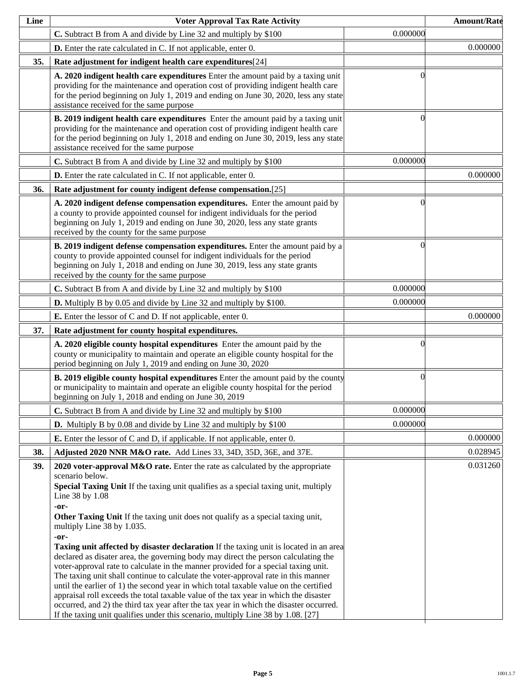| Line | <b>Voter Approval Tax Rate Activity</b>                                                                                                                                                                                                                                                                                                                                                                                                                                                                                                                                                                                                                                                                                                                                                                                                                                                                                                                                                                                                                               |          | <b>Amount/Rate</b> |
|------|-----------------------------------------------------------------------------------------------------------------------------------------------------------------------------------------------------------------------------------------------------------------------------------------------------------------------------------------------------------------------------------------------------------------------------------------------------------------------------------------------------------------------------------------------------------------------------------------------------------------------------------------------------------------------------------------------------------------------------------------------------------------------------------------------------------------------------------------------------------------------------------------------------------------------------------------------------------------------------------------------------------------------------------------------------------------------|----------|--------------------|
|      | C. Subtract B from A and divide by Line 32 and multiply by \$100                                                                                                                                                                                                                                                                                                                                                                                                                                                                                                                                                                                                                                                                                                                                                                                                                                                                                                                                                                                                      | 0.000000 |                    |
|      | <b>D.</b> Enter the rate calculated in C. If not applicable, enter 0.                                                                                                                                                                                                                                                                                                                                                                                                                                                                                                                                                                                                                                                                                                                                                                                                                                                                                                                                                                                                 |          | 0.000000           |
| 35.  | Rate adjustment for indigent health care expenditures[24]                                                                                                                                                                                                                                                                                                                                                                                                                                                                                                                                                                                                                                                                                                                                                                                                                                                                                                                                                                                                             |          |                    |
|      | A. 2020 indigent health care expenditures Enter the amount paid by a taxing unit<br>providing for the maintenance and operation cost of providing indigent health care<br>for the period beginning on July 1, 2019 and ending on June 30, 2020, less any state<br>assistance received for the same purpose                                                                                                                                                                                                                                                                                                                                                                                                                                                                                                                                                                                                                                                                                                                                                            |          |                    |
|      | B. 2019 indigent health care expenditures Enter the amount paid by a taxing unit<br>providing for the maintenance and operation cost of providing indigent health care<br>for the period beginning on July 1, 2018 and ending on June 30, 2019, less any state<br>assistance received for the same purpose                                                                                                                                                                                                                                                                                                                                                                                                                                                                                                                                                                                                                                                                                                                                                            |          |                    |
|      | C. Subtract B from A and divide by Line 32 and multiply by \$100                                                                                                                                                                                                                                                                                                                                                                                                                                                                                                                                                                                                                                                                                                                                                                                                                                                                                                                                                                                                      | 0.000000 |                    |
|      | <b>D.</b> Enter the rate calculated in C. If not applicable, enter 0.                                                                                                                                                                                                                                                                                                                                                                                                                                                                                                                                                                                                                                                                                                                                                                                                                                                                                                                                                                                                 |          | 0.000000           |
| 36.  | Rate adjustment for county indigent defense compensation.[25]                                                                                                                                                                                                                                                                                                                                                                                                                                                                                                                                                                                                                                                                                                                                                                                                                                                                                                                                                                                                         |          |                    |
|      | A. 2020 indigent defense compensation expenditures. Enter the amount paid by<br>a county to provide appointed counsel for indigent individuals for the period<br>beginning on July 1, 2019 and ending on June 30, 2020, less any state grants<br>received by the county for the same purpose                                                                                                                                                                                                                                                                                                                                                                                                                                                                                                                                                                                                                                                                                                                                                                          |          |                    |
|      | B. 2019 indigent defense compensation expenditures. Enter the amount paid by a<br>county to provide appointed counsel for indigent individuals for the period<br>beginning on July 1, 2018 and ending on June 30, 2019, less any state grants<br>received by the county for the same purpose                                                                                                                                                                                                                                                                                                                                                                                                                                                                                                                                                                                                                                                                                                                                                                          |          |                    |
|      | C. Subtract B from A and divide by Line 32 and multiply by \$100                                                                                                                                                                                                                                                                                                                                                                                                                                                                                                                                                                                                                                                                                                                                                                                                                                                                                                                                                                                                      | 0.000000 |                    |
|      | <b>D.</b> Multiply B by 0.05 and divide by Line 32 and multiply by \$100.                                                                                                                                                                                                                                                                                                                                                                                                                                                                                                                                                                                                                                                                                                                                                                                                                                                                                                                                                                                             | 0.000000 |                    |
|      | <b>E.</b> Enter the lessor of C and D. If not applicable, enter 0.                                                                                                                                                                                                                                                                                                                                                                                                                                                                                                                                                                                                                                                                                                                                                                                                                                                                                                                                                                                                    |          | 0.000000           |
| 37.  | Rate adjustment for county hospital expenditures.                                                                                                                                                                                                                                                                                                                                                                                                                                                                                                                                                                                                                                                                                                                                                                                                                                                                                                                                                                                                                     |          |                    |
|      | A. 2020 eligible county hospital expenditures Enter the amount paid by the<br>county or municipality to maintain and operate an eligible county hospital for the<br>period beginning on July 1, 2019 and ending on June 30, 2020                                                                                                                                                                                                                                                                                                                                                                                                                                                                                                                                                                                                                                                                                                                                                                                                                                      |          |                    |
|      | <b>B. 2019 eligible county hospital expenditures</b> Enter the amount paid by the county<br>or municipality to maintain and operate an eligible county hospital for the period<br>beginning on July 1, 2018 and ending on June 30, 2019                                                                                                                                                                                                                                                                                                                                                                                                                                                                                                                                                                                                                                                                                                                                                                                                                               | 0        |                    |
|      | C. Subtract B from A and divide by Line 32 and multiply by \$100                                                                                                                                                                                                                                                                                                                                                                                                                                                                                                                                                                                                                                                                                                                                                                                                                                                                                                                                                                                                      | 0.000000 |                    |
|      | <b>D.</b> Multiply B by 0.08 and divide by Line 32 and multiply by \$100                                                                                                                                                                                                                                                                                                                                                                                                                                                                                                                                                                                                                                                                                                                                                                                                                                                                                                                                                                                              | 0.000000 |                    |
|      | <b>E.</b> Enter the lessor of C and D, if applicable. If not applicable, enter 0.                                                                                                                                                                                                                                                                                                                                                                                                                                                                                                                                                                                                                                                                                                                                                                                                                                                                                                                                                                                     |          | 0.000000           |
| 38.  | Adjusted 2020 NNR M&O rate. Add Lines 33, 34D, 35D, 36E, and 37E.                                                                                                                                                                                                                                                                                                                                                                                                                                                                                                                                                                                                                                                                                                                                                                                                                                                                                                                                                                                                     |          | 0.028945           |
| 39.  | 2020 voter-approval M&O rate. Enter the rate as calculated by the appropriate<br>scenario below.<br>Special Taxing Unit If the taxing unit qualifies as a special taxing unit, multiply<br>Line 38 by 1.08<br>-or-<br>Other Taxing Unit If the taxing unit does not qualify as a special taxing unit,<br>multiply Line 38 by 1.035.<br>-or-<br>Taxing unit affected by disaster declaration If the taxing unit is located in an area<br>declared as disater area, the governing body may direct the person calculating the<br>voter-approval rate to calculate in the manner provided for a special taxing unit.<br>The taxing unit shall continue to calculate the voter-approval rate in this manner<br>until the earlier of 1) the second year in which total taxable value on the certified<br>appraisal roll exceeds the total taxable value of the tax year in which the disaster<br>occurred, and 2) the third tax year after the tax year in which the disaster occurred.<br>If the taxing unit qualifies under this scenario, multiply Line 38 by 1.08. [27] |          | 0.031260           |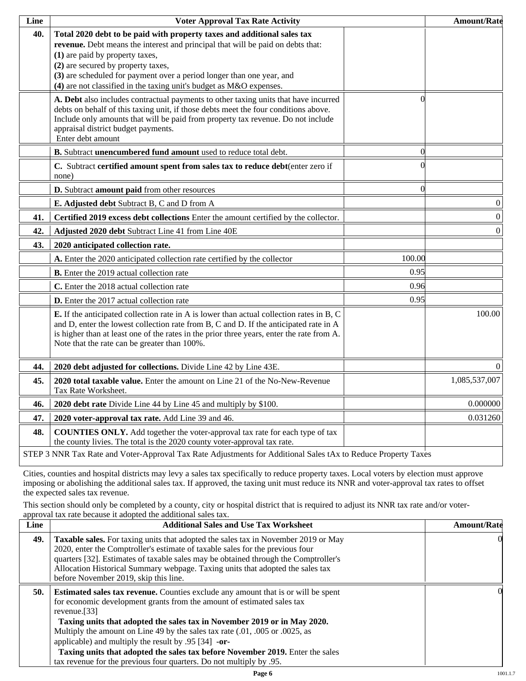| Line | <b>Voter Approval Tax Rate Activity</b>                                                                                                                                                                                                                                                                                                                                             |                  | <b>Amount/Rate</b> |
|------|-------------------------------------------------------------------------------------------------------------------------------------------------------------------------------------------------------------------------------------------------------------------------------------------------------------------------------------------------------------------------------------|------------------|--------------------|
| 40.  | Total 2020 debt to be paid with property taxes and additional sales tax<br>revenue. Debt means the interest and principal that will be paid on debts that:<br>(1) are paid by property taxes,<br>(2) are secured by property taxes,<br>(3) are scheduled for payment over a period longer than one year, and<br>(4) are not classified in the taxing unit's budget as M&O expenses. |                  |                    |
|      | A. Debt also includes contractual payments to other taxing units that have incurred<br>debts on behalf of this taxing unit, if those debts meet the four conditions above.<br>Include only amounts that will be paid from property tax revenue. Do not include<br>appraisal district budget payments.<br>Enter debt amount                                                          | $\left( \right)$ |                    |
|      | B. Subtract unencumbered fund amount used to reduce total debt.                                                                                                                                                                                                                                                                                                                     | $\Omega$         |                    |
|      | C. Subtract certified amount spent from sales tax to reduce debt(enter zero if<br>none)                                                                                                                                                                                                                                                                                             |                  |                    |
|      | D. Subtract amount paid from other resources                                                                                                                                                                                                                                                                                                                                        | $\Omega$         |                    |
|      | E. Adjusted debt Subtract B, C and D from A                                                                                                                                                                                                                                                                                                                                         |                  | $\boldsymbol{0}$   |
| 41.  | Certified 2019 excess debt collections Enter the amount certified by the collector.                                                                                                                                                                                                                                                                                                 |                  | $\vert 0 \vert$    |
| 42.  | Adjusted 2020 debt Subtract Line 41 from Line 40E                                                                                                                                                                                                                                                                                                                                   |                  | $\overline{0}$     |
| 43.  | 2020 anticipated collection rate.                                                                                                                                                                                                                                                                                                                                                   |                  |                    |
|      | A. Enter the 2020 anticipated collection rate certified by the collector                                                                                                                                                                                                                                                                                                            | 100.00           |                    |
|      | <b>B.</b> Enter the 2019 actual collection rate                                                                                                                                                                                                                                                                                                                                     | 0.95             |                    |
|      | C. Enter the 2018 actual collection rate                                                                                                                                                                                                                                                                                                                                            | 0.96             |                    |
|      | D. Enter the 2017 actual collection rate                                                                                                                                                                                                                                                                                                                                            | 0.95             |                    |
|      | E. If the anticipated collection rate in A is lower than actual collection rates in B, C<br>and D, enter the lowest collection rate from B, C and D. If the anticipated rate in A<br>is higher than at least one of the rates in the prior three years, enter the rate from A.<br>Note that the rate can be greater than 100%.                                                      |                  | 100.00             |
| 44.  | 2020 debt adjusted for collections. Divide Line 42 by Line 43E.                                                                                                                                                                                                                                                                                                                     |                  | $\Omega$           |
| 45.  | 2020 total taxable value. Enter the amount on Line 21 of the No-New-Revenue<br>Tax Rate Worksheet.                                                                                                                                                                                                                                                                                  |                  | 1,085,537,007      |
| 46.  | 2020 debt rate Divide Line 44 by Line 45 and multiply by \$100.                                                                                                                                                                                                                                                                                                                     |                  | 0.000000           |
| 47.  | 2020 voter-approval tax rate. Add Line 39 and 46.                                                                                                                                                                                                                                                                                                                                   |                  | 0.031260           |
| 48.  | <b>COUNTIES ONLY.</b> Add together the voter-approval tax rate for each type of tax<br>the county livies. The total is the 2020 county voter-approval tax rate.                                                                                                                                                                                                                     |                  |                    |
|      | STEP 3 NNR Tax Rate and Voter-Approval Tax Rate Adjustments for Additional Sales tAx to Reduce Property Taxes                                                                                                                                                                                                                                                                       |                  |                    |

Cities, counties and hospital districts may levy a sales tax specifically to reduce property taxes. Local voters by election must approve imposing or abolishing the additional sales tax. If approved, the taxing unit must reduce its NNR and voter-approval tax rates to offset the expected sales tax revenue.

This section should only be completed by a county, city or hospital district that is required to adjust its NNR tax rate and/or voterapproval tax rate because it adopted the additional sales tax.

| <b>Additional Sales and Use Tax Worksheet</b>                                                                                                                                                                                                                                                                                                                                                                                                                                                | <b>Amount/Rate</b>                                                  |
|----------------------------------------------------------------------------------------------------------------------------------------------------------------------------------------------------------------------------------------------------------------------------------------------------------------------------------------------------------------------------------------------------------------------------------------------------------------------------------------------|---------------------------------------------------------------------|
| Taxable sales. For taxing units that adopted the sales tax in November 2019 or May<br>2020, enter the Comptroller's estimate of taxable sales for the previous four<br>quarters [32]. Estimates of taxable sales may be obtained through the Comptroller's<br>Allocation Historical Summary webpage. Taxing units that adopted the sales tax<br>before November 2019, skip this line.                                                                                                        | $\Omega$                                                            |
| <b>Estimated sales tax revenue.</b> Counties exclude any amount that is or will be spent<br>for economic development grants from the amount of estimated sales tax<br>revenue. $[33]$<br>Taxing units that adopted the sales tax in November 2019 or in May 2020.<br>Multiply the amount on Line 49 by the sales tax rate (.01, .005 or .0025, as<br>applicable) and multiply the result by $.95$ [34] -or-<br>Taxing units that adopted the sales tax before November 2019. Enter the sales | OI.                                                                 |
|                                                                                                                                                                                                                                                                                                                                                                                                                                                                                              | tax revenue for the previous four quarters. Do not multiply by .95. |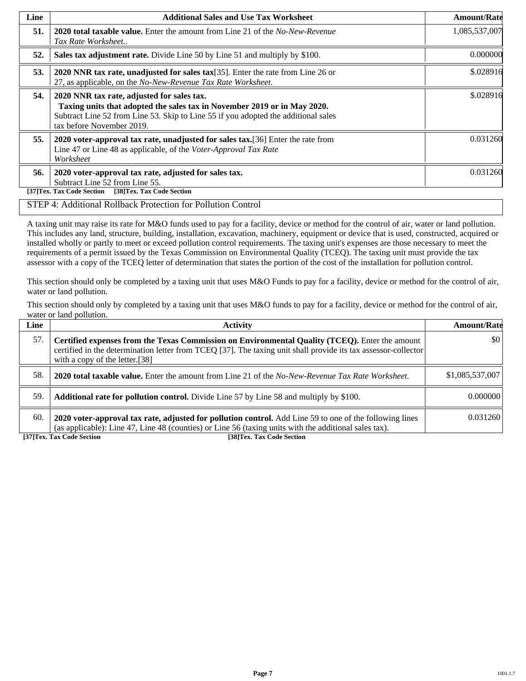| Line | <b>Additional Sales and Use Tax Worksheet</b>                                                                                                                                                                                             | <b>Amount/Rate</b> |
|------|-------------------------------------------------------------------------------------------------------------------------------------------------------------------------------------------------------------------------------------------|--------------------|
| 51.  | <b>2020 total taxable value.</b> Enter the amount from Line 21 of the <i>No-New-Revenue</i><br>Tax Rate Worksheet                                                                                                                         | 1,085,537,007      |
| 52.  | Sales tax adjustment rate. Divide Line 50 by Line 51 and multiply by \$100.                                                                                                                                                               | 0.000000           |
| 53.  | 2020 NNR tax rate, unadjusted for sales tax[35]. Enter the rate from Line 26 or<br>27, as applicable, on the No-New-Revenue Tax Rate Worksheet.                                                                                           | \$.028916          |
| 54.  | 2020 NNR tax rate, adjusted for sales tax.<br>Taxing units that adopted the sales tax in November 2019 or in May 2020.<br>Subtract Line 52 from Line 53. Skip to Line 55 if you adopted the additional sales<br>tax before November 2019. | \$.028916          |
| 55.  | 2020 voter-approval tax rate, unadjusted for sales tax. [36] Enter the rate from<br>Line 47 or Line 48 as applicable, of the Voter-Approval Tax Rate<br>Worksheet                                                                         | 0.031260           |
| 56.  | 2020 voter-approval tax rate, adjusted for sales tax.<br>Subtract Line 52 from Line 55.<br>[38]Tex. Tax Code Section<br>[37]Tex. Tax Code Section                                                                                         | 0.031260           |

#### STEP 4: Additional Rollback Protection for Pollution Control

A taxing unit may raise its rate for M&O funds used to pay for a facility, device or method for the control of air, water or land pollution. This includes any land, structure, building, installation, excavation, machinery, equipment or device that is used, constructed, acquired or installed wholly or partly to meet or exceed pollution control requirements. The taxing unit's expenses are those necessary to meet the requirements of a permit issued by the Texas Commission on Environmental Quality (TCEQ). The taxing unit must provide the tax assessor with a copy of the TCEQ letter of determination that states the portion of the cost of the installation for pollution control.

This section should only be completed by a taxing unit that uses M&O Funds to pay for a facility, device or method for the control of air, water or land pollution.

This section should only by completed by a taxing unit that uses M&O funds to pay for a facility, device or method for the control of air, water or land pollution.

| Line | <b>Activity</b>                                                                                                                                                                                                                                    | <b>Amount/Rate</b>      |
|------|----------------------------------------------------------------------------------------------------------------------------------------------------------------------------------------------------------------------------------------------------|-------------------------|
| 57.  | Certified expenses from the Texas Commission on Environmental Quality (TCEQ). Enter the amount<br>certified in the determination letter from TCEQ [37]. The taxing unit shall provide its tax assessor-collector<br>with a copy of the letter.[38] | $\vert \$\text{0}\vert$ |
| 58.  | <b>2020 total taxable value.</b> Enter the amount from Line 21 of the No-New-Revenue Tax Rate Worksheet.                                                                                                                                           | \$1,085,537,007         |
| 59.  | <b>Additional rate for pollution control.</b> Divide Line 57 by Line 58 and multiply by \$100.                                                                                                                                                     | 0.000000                |
| 60.  | 2020 voter-approval tax rate, adjusted for pollution control. Add Line 59 to one of the following lines<br>(as applicable): Line 47, Line 48 (counties) or Line 56 (taxing units with the additional sales tax).                                   | 0.031260                |

**[37]Tex. Tax Code Section [38]Tex. Tax Code Section**